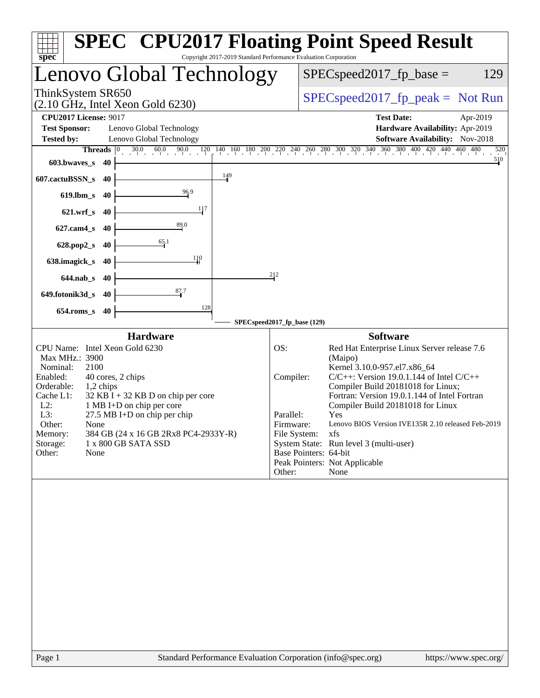| spec <sup>®</sup>                                                                                                                                                                                                                                                                                                                                                                             | <b>SPEC<sup>®</sup> CPU2017 Floating Point Speed Result</b><br>Copyright 2017-2019 Standard Performance Evaluation Corporation                                                                                                                                                                                                                                                                                                                                                                                             |
|-----------------------------------------------------------------------------------------------------------------------------------------------------------------------------------------------------------------------------------------------------------------------------------------------------------------------------------------------------------------------------------------------|----------------------------------------------------------------------------------------------------------------------------------------------------------------------------------------------------------------------------------------------------------------------------------------------------------------------------------------------------------------------------------------------------------------------------------------------------------------------------------------------------------------------------|
| Lenovo Global Technology                                                                                                                                                                                                                                                                                                                                                                      | $SPEC speed2017_fp\_base =$<br>129                                                                                                                                                                                                                                                                                                                                                                                                                                                                                         |
| ThinkSystem SR650<br>$(2.10 \text{ GHz}, \text{Intel Xeon Gold } 6230)$                                                                                                                                                                                                                                                                                                                       | $SPEC speed2017fr peak = Not Run$                                                                                                                                                                                                                                                                                                                                                                                                                                                                                          |
| <b>CPU2017 License: 9017</b>                                                                                                                                                                                                                                                                                                                                                                  | <b>Test Date:</b><br>Apr-2019                                                                                                                                                                                                                                                                                                                                                                                                                                                                                              |
| <b>Test Sponsor:</b><br>Lenovo Global Technology                                                                                                                                                                                                                                                                                                                                              | Hardware Availability: Apr-2019                                                                                                                                                                                                                                                                                                                                                                                                                                                                                            |
| Lenovo Global Technology<br><b>Tested by:</b>                                                                                                                                                                                                                                                                                                                                                 | Software Availability: Nov-2018                                                                                                                                                                                                                                                                                                                                                                                                                                                                                            |
| $30.0$ 6<br>60.0<br>90.0<br>Threads $ 0 $                                                                                                                                                                                                                                                                                                                                                     | $120$ $140$ $160$ $180$ $200$ $220$ $240$ $260$ $280$ $300$ $320$ $340$ $360$ $380$ $400$ $420$ $440$ $46$<br>$460$ $480$<br>520<br>510                                                                                                                                                                                                                                                                                                                                                                                    |
| $603.bwaves$ s<br>- 40<br>149<br>607.cactuBSSN_s<br>40                                                                                                                                                                                                                                                                                                                                        |                                                                                                                                                                                                                                                                                                                                                                                                                                                                                                                            |
| 96.9<br>$619$ .lbm_s<br>-40                                                                                                                                                                                                                                                                                                                                                                   |                                                                                                                                                                                                                                                                                                                                                                                                                                                                                                                            |
| 117<br>$621.wrf$ s<br>40                                                                                                                                                                                                                                                                                                                                                                      |                                                                                                                                                                                                                                                                                                                                                                                                                                                                                                                            |
| 89.0<br>$627$ .cam $4 \text{ s}$<br>40                                                                                                                                                                                                                                                                                                                                                        |                                                                                                                                                                                                                                                                                                                                                                                                                                                                                                                            |
| 65.1<br>$628.pop2_s$<br>40                                                                                                                                                                                                                                                                                                                                                                    |                                                                                                                                                                                                                                                                                                                                                                                                                                                                                                                            |
| 110<br>638.imagick_s<br>40                                                                                                                                                                                                                                                                                                                                                                    |                                                                                                                                                                                                                                                                                                                                                                                                                                                                                                                            |
| $644$ .nab s<br>-40                                                                                                                                                                                                                                                                                                                                                                           | 212                                                                                                                                                                                                                                                                                                                                                                                                                                                                                                                        |
| $\frac{87.7}{4}$<br>649.fotonik3d_s<br>40                                                                                                                                                                                                                                                                                                                                                     |                                                                                                                                                                                                                                                                                                                                                                                                                                                                                                                            |
| 128<br>$654$ .roms_s<br>40                                                                                                                                                                                                                                                                                                                                                                    |                                                                                                                                                                                                                                                                                                                                                                                                                                                                                                                            |
| <b>Hardware</b>                                                                                                                                                                                                                                                                                                                                                                               | SPECspeed2017_fp_base (129)<br><b>Software</b>                                                                                                                                                                                                                                                                                                                                                                                                                                                                             |
| CPU Name: Intel Xeon Gold 6230<br>Max MHz.: 3900<br>2100<br>Nominal:<br>Enabled:<br>40 cores, 2 chips<br>Orderable:<br>1,2 chips<br>Cache L1:<br>$32$ KB I + 32 KB D on chip per core<br>$L2$ :<br>1 MB I+D on chip per core<br>L3:<br>27.5 MB I+D on chip per chip<br>Other:<br>None<br>384 GB (24 x 16 GB 2Rx8 PC4-2933Y-R)<br>Memory:<br>Storage:<br>1 x 800 GB SATA SSD<br>Other:<br>None | OS:<br>Red Hat Enterprise Linux Server release 7.6<br>(Maipo)<br>Kernel 3.10.0-957.el7.x86_64<br>$C/C++$ : Version 19.0.1.144 of Intel $C/C++$<br>Compiler:<br>Compiler Build 20181018 for Linux;<br>Fortran: Version 19.0.1.144 of Intel Fortran<br>Compiler Build 20181018 for Linux<br>Yes<br>Parallel:<br>Lenovo BIOS Version IVE135R 2.10 released Feb-2019<br>Firmware:<br>File System:<br>xfs<br>System State: Run level 3 (multi-user)<br>Base Pointers: 64-bit<br>Peak Pointers: Not Applicable<br>Other:<br>None |
| Page 1                                                                                                                                                                                                                                                                                                                                                                                        | Standard Performance Evaluation Corporation (info@spec.org)<br>https://www.spec.org/                                                                                                                                                                                                                                                                                                                                                                                                                                       |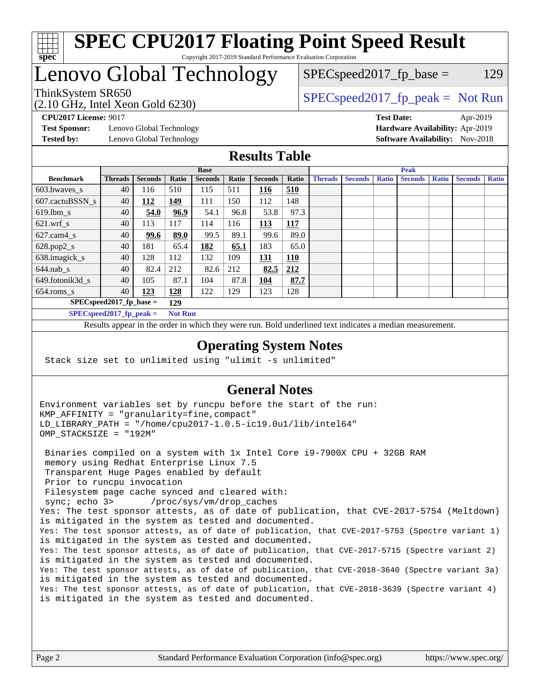

#### **[SPEC CPU2017 Floating Point Speed Result](http://www.spec.org/auto/cpu2017/Docs/result-fields.html#SPECCPU2017FloatingPointSpeedResult)** Copyright 2017-2019 Standard Performance Evaluation Corporation

## Lenovo Global Technology

(2.10 GHz, Intel Xeon Gold 6230)

ThinkSystem SR650<br>  $SPEC speed2017<sub>fp</sub> peak = Not Run$ 

 $SPEC speed2017_fp\_base = 129$ 

**[Test Sponsor:](http://www.spec.org/auto/cpu2017/Docs/result-fields.html#TestSponsor)** Lenovo Global Technology **[Hardware Availability:](http://www.spec.org/auto/cpu2017/Docs/result-fields.html#HardwareAvailability)** Apr-2019 **[Tested by:](http://www.spec.org/auto/cpu2017/Docs/result-fields.html#Testedby)** Lenovo Global Technology **[Software Availability:](http://www.spec.org/auto/cpu2017/Docs/result-fields.html#SoftwareAvailability)** Nov-2018

**[CPU2017 License:](http://www.spec.org/auto/cpu2017/Docs/result-fields.html#CPU2017License)** 9017 **[Test Date:](http://www.spec.org/auto/cpu2017/Docs/result-fields.html#TestDate)** Apr-2019

#### **[Results Table](http://www.spec.org/auto/cpu2017/Docs/result-fields.html#ResultsTable)**

|                                   | <b>Base</b>    |                |       |                |       | <b>Peak</b>    |            |                |                |              |                |              |                |              |
|-----------------------------------|----------------|----------------|-------|----------------|-------|----------------|------------|----------------|----------------|--------------|----------------|--------------|----------------|--------------|
| <b>Benchmark</b>                  | <b>Threads</b> | <b>Seconds</b> | Ratio | <b>Seconds</b> | Ratio | <b>Seconds</b> | Ratio      | <b>Threads</b> | <b>Seconds</b> | <b>Ratio</b> | <b>Seconds</b> | <b>Ratio</b> | <b>Seconds</b> | <b>Ratio</b> |
| 603.bwayes_s                      | 40             | 116            | 510   | 115            | 511   | 116            | 510        |                |                |              |                |              |                |              |
| 607.cactuBSSN s                   | 40             | 112            | 149   | 111            | 150   | 112            | 148        |                |                |              |                |              |                |              |
| $619.$ lbm s                      | 40             | 54.0           | 96.9  | 54.1           | 96.8  | 53.8           | 97.3       |                |                |              |                |              |                |              |
| $621.wrf$ s                       | 40             | 113            | 117   | 114            | 116   | 113            | <b>117</b> |                |                |              |                |              |                |              |
| $627$ .cam4 s                     | 40             | 99.6           | 89.0  | 99.5           | 89.1  | 99.6           | 89.0       |                |                |              |                |              |                |              |
| $628.pop2_s$                      | 40             | 181            | 65.4  | 182            | 65.1  | 183            | 65.0       |                |                |              |                |              |                |              |
| 638.imagick_s                     | 40             | 128            | 112   | 132            | 109   | 131            | <b>110</b> |                |                |              |                |              |                |              |
| $644$ .nab s                      | 40             | 82.4           | 212   | 82.6           | 212   | 82.5           | 212        |                |                |              |                |              |                |              |
| 649.fotonik3d_s                   | 40             | 105            | 87.1  | 104            | 87.8  | 104            | 87.7       |                |                |              |                |              |                |              |
| $654$ .roms_s                     | 40             | 123            | 128   | 122            | 129   | 123            | 128        |                |                |              |                |              |                |              |
| $SPEC speed2017$ fp base =<br>129 |                |                |       |                |       |                |            |                |                |              |                |              |                |              |
| SPECspeed 2017 fp peak $=$        |                |                |       | <b>Not Run</b> |       |                |            |                |                |              |                |              |                |              |

Results appear in the [order in which they were run.](http://www.spec.org/auto/cpu2017/Docs/result-fields.html#RunOrder) Bold underlined text [indicates a median measurement](http://www.spec.org/auto/cpu2017/Docs/result-fields.html#Median).

#### **[Operating System Notes](http://www.spec.org/auto/cpu2017/Docs/result-fields.html#OperatingSystemNotes)**

Stack size set to unlimited using "ulimit -s unlimited"

#### **[General Notes](http://www.spec.org/auto/cpu2017/Docs/result-fields.html#GeneralNotes)**

Environment variables set by runcpu before the start of the run: KMP\_AFFINITY = "granularity=fine,compact" LD\_LIBRARY\_PATH = "/home/cpu2017-1.0.5-ic19.0u1/lib/intel64" OMP\_STACKSIZE = "192M"

 Binaries compiled on a system with 1x Intel Core i9-7900X CPU + 32GB RAM memory using Redhat Enterprise Linux 7.5 Transparent Huge Pages enabled by default Prior to runcpu invocation Filesystem page cache synced and cleared with: sync; echo 3> /proc/sys/vm/drop\_caches Yes: The test sponsor attests, as of date of publication, that CVE-2017-5754 (Meltdown) is mitigated in the system as tested and documented. Yes: The test sponsor attests, as of date of publication, that CVE-2017-5753 (Spectre variant 1) is mitigated in the system as tested and documented. Yes: The test sponsor attests, as of date of publication, that CVE-2017-5715 (Spectre variant 2) is mitigated in the system as tested and documented. Yes: The test sponsor attests, as of date of publication, that CVE-2018-3640 (Spectre variant 3a) is mitigated in the system as tested and documented. Yes: The test sponsor attests, as of date of publication, that CVE-2018-3639 (Spectre variant 4) is mitigated in the system as tested and documented.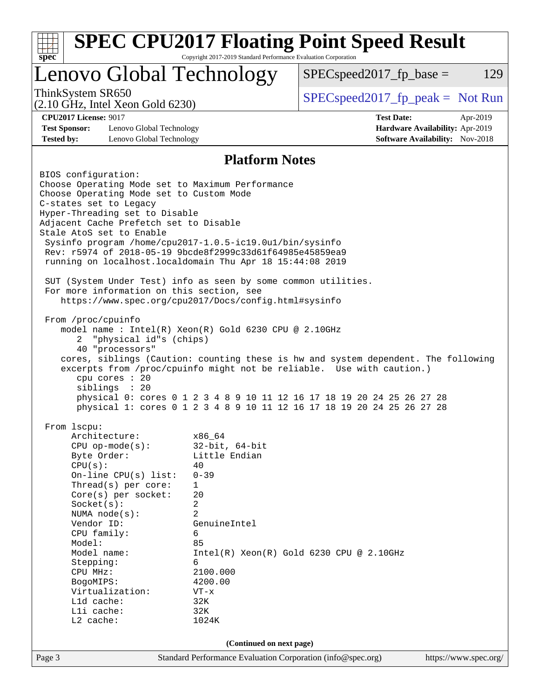| <b>SPEC CPU2017 Floating Point Speed Result</b><br>$spec^*$                                                                                                                                                                                                                                                                                                                                                                                                                                                                                                                                                                                                                                                                                                                                                                                                                                                                                                                                                                                                                                                                                                                                                                                                                                                                                                                                                                                                                                                                                                                                                                                                                       | Copyright 2017-2019 Standard Performance Evaluation Corporation |                                     |                                                                                       |  |  |
|-----------------------------------------------------------------------------------------------------------------------------------------------------------------------------------------------------------------------------------------------------------------------------------------------------------------------------------------------------------------------------------------------------------------------------------------------------------------------------------------------------------------------------------------------------------------------------------------------------------------------------------------------------------------------------------------------------------------------------------------------------------------------------------------------------------------------------------------------------------------------------------------------------------------------------------------------------------------------------------------------------------------------------------------------------------------------------------------------------------------------------------------------------------------------------------------------------------------------------------------------------------------------------------------------------------------------------------------------------------------------------------------------------------------------------------------------------------------------------------------------------------------------------------------------------------------------------------------------------------------------------------------------------------------------------------|-----------------------------------------------------------------|-------------------------------------|---------------------------------------------------------------------------------------|--|--|
| Lenovo Global Technology                                                                                                                                                                                                                                                                                                                                                                                                                                                                                                                                                                                                                                                                                                                                                                                                                                                                                                                                                                                                                                                                                                                                                                                                                                                                                                                                                                                                                                                                                                                                                                                                                                                          |                                                                 | $SPEC speed2017_fp\_base =$         | 129                                                                                   |  |  |
| ThinkSystem SR650<br>$(2.10 \text{ GHz}, \text{Intel Xeon Gold } 6230)$                                                                                                                                                                                                                                                                                                                                                                                                                                                                                                                                                                                                                                                                                                                                                                                                                                                                                                                                                                                                                                                                                                                                                                                                                                                                                                                                                                                                                                                                                                                                                                                                           |                                                                 | $SPEC speed2017_fp\_peak = Not Run$ |                                                                                       |  |  |
| <b>CPU2017 License: 9017</b><br><b>Test Sponsor:</b><br>Lenovo Global Technology<br><b>Tested by:</b><br>Lenovo Global Technology                                                                                                                                                                                                                                                                                                                                                                                                                                                                                                                                                                                                                                                                                                                                                                                                                                                                                                                                                                                                                                                                                                                                                                                                                                                                                                                                                                                                                                                                                                                                                 |                                                                 | <b>Test Date:</b>                   | Apr-2019<br>Hardware Availability: Apr-2019<br><b>Software Availability:</b> Nov-2018 |  |  |
|                                                                                                                                                                                                                                                                                                                                                                                                                                                                                                                                                                                                                                                                                                                                                                                                                                                                                                                                                                                                                                                                                                                                                                                                                                                                                                                                                                                                                                                                                                                                                                                                                                                                                   |                                                                 |                                     |                                                                                       |  |  |
| <b>Platform Notes</b><br>BIOS configuration:<br>Choose Operating Mode set to Maximum Performance<br>Choose Operating Mode set to Custom Mode<br>C-states set to Legacy<br>Hyper-Threading set to Disable<br>Adjacent Cache Prefetch set to Disable<br>Stale AtoS set to Enable<br>Sysinfo program /home/cpu2017-1.0.5-ic19.0ul/bin/sysinfo<br>Rev: r5974 of 2018-05-19 9bcde8f2999c33d61f64985e45859ea9<br>running on localhost.localdomain Thu Apr 18 15:44:08 2019<br>SUT (System Under Test) info as seen by some common utilities.<br>For more information on this section, see<br>https://www.spec.org/cpu2017/Docs/config.html#sysinfo<br>From /proc/cpuinfo<br>model name: Intel(R) Xeon(R) Gold 6230 CPU @ 2.10GHz<br>"physical id"s (chips)<br>$\overline{2}$<br>40 "processors"<br>cores, siblings (Caution: counting these is hw and system dependent. The following<br>excerpts from /proc/cpuinfo might not be reliable. Use with caution.)<br>cpu cores : 20<br>siblings : 20<br>physical 0: cores 0 1 2 3 4 8 9 10 11 12 16 17 18 19 20 24 25 26 27 28<br>physical 1: cores 0 1 2 3 4 8 9 10 11 12 16 17 18 19 20 24 25 26 27 28<br>From 1scpu:<br>Architecture:<br>x86_64<br>$32$ -bit, $64$ -bit<br>$CPU$ op-mode( $s$ ):<br>Little Endian<br>Byte Order:<br>CPU(s):<br>40<br>On-line CPU(s) list:<br>$0 - 39$<br>Thread(s) per core:<br>1<br>Core(s) per socket:<br>20<br>Socket(s):<br>2<br>$\overline{a}$<br>NUMA $node(s)$ :<br>Vendor ID:<br>GenuineIntel<br>CPU family:<br>6<br>85<br>Model:<br>Model name:<br>$Intel(R) Xeon(R) Gold 6230 CPU @ 2.10GHz$<br>6<br>Stepping:<br>2100.000<br>CPU MHz:<br>4200.00<br>BogoMIPS:<br>Virtualization:<br>$VT - x$ |                                                                 |                                     |                                                                                       |  |  |
| Lld cache:<br>Lli cache:                                                                                                                                                                                                                                                                                                                                                                                                                                                                                                                                                                                                                                                                                                                                                                                                                                                                                                                                                                                                                                                                                                                                                                                                                                                                                                                                                                                                                                                                                                                                                                                                                                                          | 32K<br>32K                                                      |                                     |                                                                                       |  |  |
| L2 cache:                                                                                                                                                                                                                                                                                                                                                                                                                                                                                                                                                                                                                                                                                                                                                                                                                                                                                                                                                                                                                                                                                                                                                                                                                                                                                                                                                                                                                                                                                                                                                                                                                                                                         | 1024K                                                           |                                     |                                                                                       |  |  |
| (Continued on next page)                                                                                                                                                                                                                                                                                                                                                                                                                                                                                                                                                                                                                                                                                                                                                                                                                                                                                                                                                                                                                                                                                                                                                                                                                                                                                                                                                                                                                                                                                                                                                                                                                                                          |                                                                 |                                     |                                                                                       |  |  |
| Page 3                                                                                                                                                                                                                                                                                                                                                                                                                                                                                                                                                                                                                                                                                                                                                                                                                                                                                                                                                                                                                                                                                                                                                                                                                                                                                                                                                                                                                                                                                                                                                                                                                                                                            | Standard Performance Evaluation Corporation (info@spec.org)     |                                     | https://www.spec.org/                                                                 |  |  |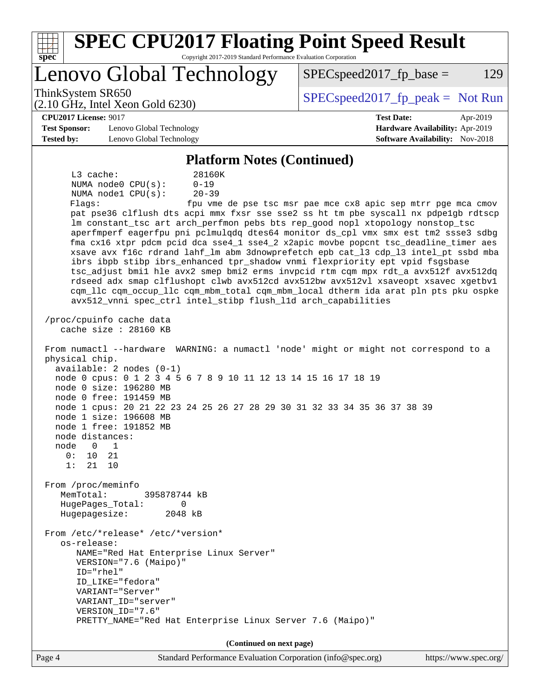| spec                                                                                                                                                                       | <b>SPEC CPU2017 Floating Point Speed Result</b><br>Copyright 2017-2019 Standard Performance Evaluation Corporation                                                                                                                                                                                                                                                                                                                                                                                                                                                                                                                                                                                                                                                                                                                                                                                                                        |                                                                                                                                                                                                                                                                                                                                                                                                                                                                                                                                                                                                                                                                                              |
|----------------------------------------------------------------------------------------------------------------------------------------------------------------------------|-------------------------------------------------------------------------------------------------------------------------------------------------------------------------------------------------------------------------------------------------------------------------------------------------------------------------------------------------------------------------------------------------------------------------------------------------------------------------------------------------------------------------------------------------------------------------------------------------------------------------------------------------------------------------------------------------------------------------------------------------------------------------------------------------------------------------------------------------------------------------------------------------------------------------------------------|----------------------------------------------------------------------------------------------------------------------------------------------------------------------------------------------------------------------------------------------------------------------------------------------------------------------------------------------------------------------------------------------------------------------------------------------------------------------------------------------------------------------------------------------------------------------------------------------------------------------------------------------------------------------------------------------|
|                                                                                                                                                                            | Lenovo Global Technology                                                                                                                                                                                                                                                                                                                                                                                                                                                                                                                                                                                                                                                                                                                                                                                                                                                                                                                  | $SPEC speed2017fr base =$<br>129                                                                                                                                                                                                                                                                                                                                                                                                                                                                                                                                                                                                                                                             |
| ThinkSystem SR650                                                                                                                                                          | $(2.10 \text{ GHz}, \text{Intel Xeon Gold } 6230)$                                                                                                                                                                                                                                                                                                                                                                                                                                                                                                                                                                                                                                                                                                                                                                                                                                                                                        | $SPEC speed2017fr peak = Not Run$                                                                                                                                                                                                                                                                                                                                                                                                                                                                                                                                                                                                                                                            |
| <b>CPU2017 License: 9017</b>                                                                                                                                               |                                                                                                                                                                                                                                                                                                                                                                                                                                                                                                                                                                                                                                                                                                                                                                                                                                                                                                                                           | <b>Test Date:</b><br>Apr-2019                                                                                                                                                                                                                                                                                                                                                                                                                                                                                                                                                                                                                                                                |
| <b>Test Sponsor:</b>                                                                                                                                                       | Lenovo Global Technology                                                                                                                                                                                                                                                                                                                                                                                                                                                                                                                                                                                                                                                                                                                                                                                                                                                                                                                  | Hardware Availability: Apr-2019                                                                                                                                                                                                                                                                                                                                                                                                                                                                                                                                                                                                                                                              |
| <b>Tested by:</b>                                                                                                                                                          | Lenovo Global Technology                                                                                                                                                                                                                                                                                                                                                                                                                                                                                                                                                                                                                                                                                                                                                                                                                                                                                                                  | <b>Software Availability:</b> Nov-2018                                                                                                                                                                                                                                                                                                                                                                                                                                                                                                                                                                                                                                                       |
|                                                                                                                                                                            | <b>Platform Notes (Continued)</b>                                                                                                                                                                                                                                                                                                                                                                                                                                                                                                                                                                                                                                                                                                                                                                                                                                                                                                         |                                                                                                                                                                                                                                                                                                                                                                                                                                                                                                                                                                                                                                                                                              |
| L3 cache:<br>Flaqs:<br>physical chip.<br>node distances:<br>node<br>$\mathbf 0$<br>0:<br>10<br>1:<br>21<br>From /proc/meminfo<br>MemTotal:<br>Hugepagesize:<br>os-release: | 28160K<br>$0 - 19$<br>NUMA node0 CPU(s):<br>NUMA nodel CPU(s):<br>$20 - 39$<br>lm constant_tsc art arch_perfmon pebs bts rep_good nopl xtopology nonstop_tsc<br>ibrs ibpb stibp ibrs_enhanced tpr_shadow vnmi flexpriority ept vpid fsgsbase<br>avx512_vnni spec_ctrl intel_stibp flush_lld arch_capabilities<br>/proc/cpuinfo cache data<br>cache size : 28160 KB<br>From numactl --hardware WARNING: a numactl 'node' might or might not correspond to a<br>$available: 2 nodes (0-1)$<br>node 0 cpus: 0 1 2 3 4 5 6 7 8 9 10 11 12 13 14 15 16 17 18 19<br>node 0 size: 196280 MB<br>node 0 free: 191459 MB<br>node 1 cpus: 20 21 22 23 24 25 26 27 28 29 30 31 32 33 34 35 36 37 38 39<br>node 1 size: 196608 MB<br>node 1 free: 191852 MB<br>1<br>21<br>10<br>395878744 kB<br>HugePages_Total:<br>0<br>2048 kB<br>From /etc/*release* /etc/*version*<br>NAME="Red Hat Enterprise Linux Server"<br>VERSION="7.6 (Maipo)"<br>ID="rhel" | fpu vme de pse tsc msr pae mce cx8 apic sep mtrr pge mca cmov<br>pat pse36 clflush dts acpi mmx fxsr sse sse2 ss ht tm pbe syscall nx pdpelgb rdtscp<br>aperfmperf eagerfpu pni pclmulqdq dtes64 monitor ds_cpl vmx smx est tm2 ssse3 sdbg<br>fma cx16 xtpr pdcm pcid dca sse4_1 sse4_2 x2apic movbe popcnt tsc_deadline_timer aes<br>xsave avx f16c rdrand lahf_lm abm 3dnowprefetch epb cat_13 cdp_13 intel_pt ssbd mba<br>tsc_adjust bmil hle avx2 smep bmi2 erms invpcid rtm cqm mpx rdt_a avx512f avx512dq<br>rdseed adx smap clflushopt clwb avx512cd avx512bw avx512vl xsaveopt xsavec xgetbvl<br>cqm_llc cqm_occup_llc cqm_mbm_total cqm_mbm_local dtherm ida arat pln pts pku ospke |
|                                                                                                                                                                            | ID LIKE="fedora"<br>VARIANT="Server"<br>VARIANT_ID="server"                                                                                                                                                                                                                                                                                                                                                                                                                                                                                                                                                                                                                                                                                                                                                                                                                                                                               |                                                                                                                                                                                                                                                                                                                                                                                                                                                                                                                                                                                                                                                                                              |
|                                                                                                                                                                            | VERSION_ID="7.6"<br>PRETTY_NAME="Red Hat Enterprise Linux Server 7.6 (Maipo)"                                                                                                                                                                                                                                                                                                                                                                                                                                                                                                                                                                                                                                                                                                                                                                                                                                                             |                                                                                                                                                                                                                                                                                                                                                                                                                                                                                                                                                                                                                                                                                              |
|                                                                                                                                                                            |                                                                                                                                                                                                                                                                                                                                                                                                                                                                                                                                                                                                                                                                                                                                                                                                                                                                                                                                           |                                                                                                                                                                                                                                                                                                                                                                                                                                                                                                                                                                                                                                                                                              |
| Page 4                                                                                                                                                                     | (Continued on next page)<br>Standard Performance Evaluation Corporation (info@spec.org)                                                                                                                                                                                                                                                                                                                                                                                                                                                                                                                                                                                                                                                                                                                                                                                                                                                   | https://www.spec.org/                                                                                                                                                                                                                                                                                                                                                                                                                                                                                                                                                                                                                                                                        |
|                                                                                                                                                                            |                                                                                                                                                                                                                                                                                                                                                                                                                                                                                                                                                                                                                                                                                                                                                                                                                                                                                                                                           |                                                                                                                                                                                                                                                                                                                                                                                                                                                                                                                                                                                                                                                                                              |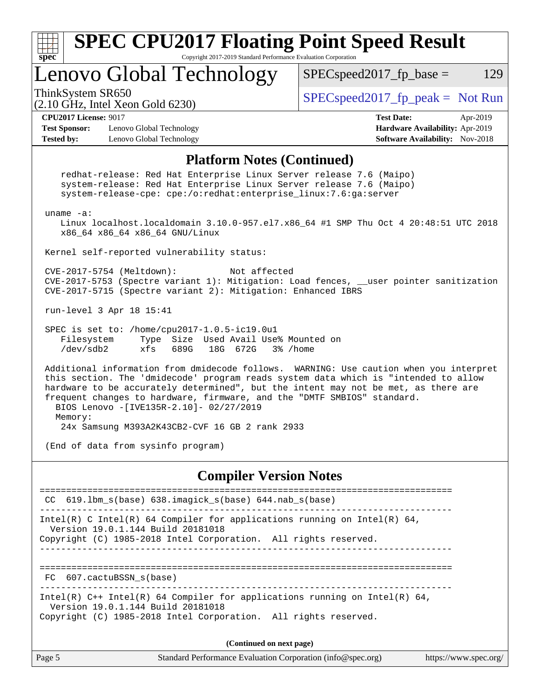

**(Continued on next page)**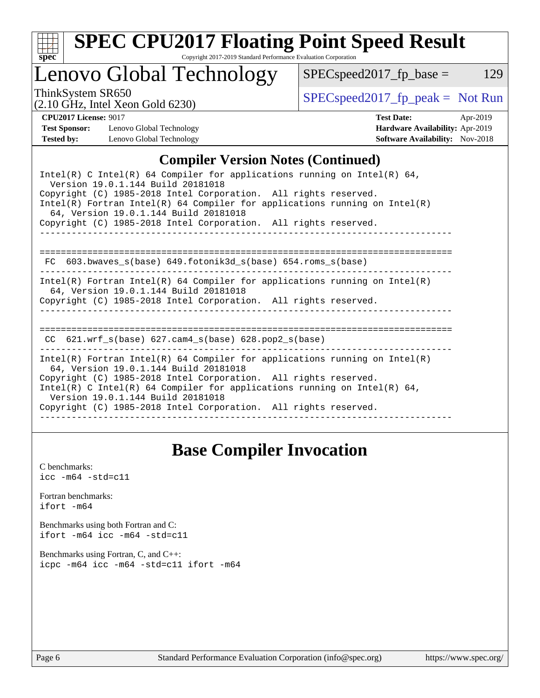

# **[SPEC CPU2017 Floating Point Speed Result](http://www.spec.org/auto/cpu2017/Docs/result-fields.html#SPECCPU2017FloatingPointSpeedResult)**

Copyright 2017-2019 Standard Performance Evaluation Corporation

### Lenovo Global Technology

ThinkSystem SR650<br>  $(2.10 \text{ GHz. Intel Yoon Gold } 6230)$  [SPECspeed2017\\_fp\\_peak =](http://www.spec.org/auto/cpu2017/Docs/result-fields.html#SPECspeed2017fppeak) Not Run

 $SPEC speed2017_fp\_base = 129$ 

(2.10 GHz, Intel Xeon Gold 6230)

| <b>CPU2017 License: 9017</b> |                          | <b>Test Date:</b>               | Apr-2019 |
|------------------------------|--------------------------|---------------------------------|----------|
| <b>Test Sponsor:</b>         | Lenovo Global Technology | Hardware Availability: Apr-2019 |          |
| ----                         | ________                 |                                 |          |

**[Hardware Availability:](http://www.spec.org/auto/cpu2017/Docs/result-fields.html#HardwareAvailability)** Apr-2019 **[Tested by:](http://www.spec.org/auto/cpu2017/Docs/result-fields.html#Testedby)** Lenovo Global Technology **[Software Availability:](http://www.spec.org/auto/cpu2017/Docs/result-fields.html#SoftwareAvailability)** Nov-2018

### **[Compiler Version Notes \(Continued\)](http://www.spec.org/auto/cpu2017/Docs/result-fields.html#CompilerVersionNotes)**

### **[Base Compiler Invocation](http://www.spec.org/auto/cpu2017/Docs/result-fields.html#BaseCompilerInvocation)**

[C benchmarks](http://www.spec.org/auto/cpu2017/Docs/result-fields.html#Cbenchmarks):  $\text{icc}$  -m64 -std=c11 [Fortran benchmarks](http://www.spec.org/auto/cpu2017/Docs/result-fields.html#Fortranbenchmarks): [ifort -m64](http://www.spec.org/cpu2017/results/res2019q2/cpu2017-20190429-13204.flags.html#user_FCbase_intel_ifort_64bit_24f2bb282fbaeffd6157abe4f878425411749daecae9a33200eee2bee2fe76f3b89351d69a8130dd5949958ce389cf37ff59a95e7a40d588e8d3a57e0c3fd751) [Benchmarks using both Fortran and C](http://www.spec.org/auto/cpu2017/Docs/result-fields.html#BenchmarksusingbothFortranandC): [ifort -m64](http://www.spec.org/cpu2017/results/res2019q2/cpu2017-20190429-13204.flags.html#user_CC_FCbase_intel_ifort_64bit_24f2bb282fbaeffd6157abe4f878425411749daecae9a33200eee2bee2fe76f3b89351d69a8130dd5949958ce389cf37ff59a95e7a40d588e8d3a57e0c3fd751) [icc -m64 -std=c11](http://www.spec.org/cpu2017/results/res2019q2/cpu2017-20190429-13204.flags.html#user_CC_FCbase_intel_icc_64bit_c11_33ee0cdaae7deeeab2a9725423ba97205ce30f63b9926c2519791662299b76a0318f32ddfffdc46587804de3178b4f9328c46fa7c2b0cd779d7a61945c91cd35) [Benchmarks using Fortran, C, and C++:](http://www.spec.org/auto/cpu2017/Docs/result-fields.html#BenchmarksusingFortranCandCXX) [icpc -m64](http://www.spec.org/cpu2017/results/res2019q2/cpu2017-20190429-13204.flags.html#user_CC_CXX_FCbase_intel_icpc_64bit_4ecb2543ae3f1412ef961e0650ca070fec7b7afdcd6ed48761b84423119d1bf6bdf5cad15b44d48e7256388bc77273b966e5eb805aefd121eb22e9299b2ec9d9) [icc -m64 -std=c11](http://www.spec.org/cpu2017/results/res2019q2/cpu2017-20190429-13204.flags.html#user_CC_CXX_FCbase_intel_icc_64bit_c11_33ee0cdaae7deeeab2a9725423ba97205ce30f63b9926c2519791662299b76a0318f32ddfffdc46587804de3178b4f9328c46fa7c2b0cd779d7a61945c91cd35) [ifort -m64](http://www.spec.org/cpu2017/results/res2019q2/cpu2017-20190429-13204.flags.html#user_CC_CXX_FCbase_intel_ifort_64bit_24f2bb282fbaeffd6157abe4f878425411749daecae9a33200eee2bee2fe76f3b89351d69a8130dd5949958ce389cf37ff59a95e7a40d588e8d3a57e0c3fd751)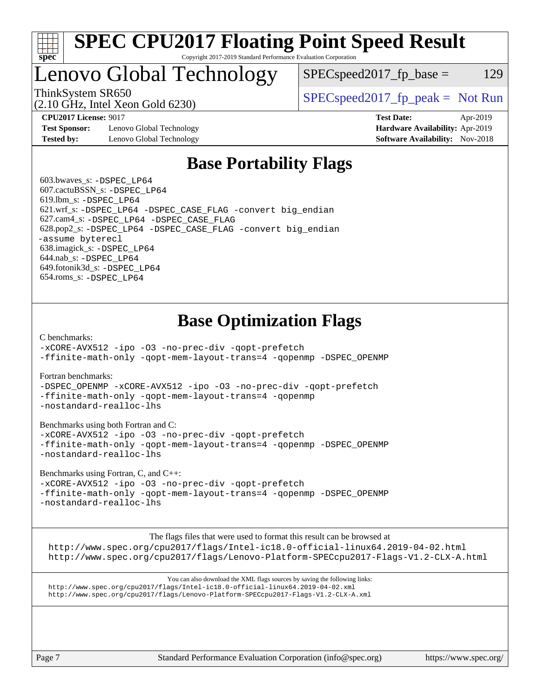

#### **[SPEC CPU2017 Floating Point Speed Result](http://www.spec.org/auto/cpu2017/Docs/result-fields.html#SPECCPU2017FloatingPointSpeedResult)** Copyright 2017-2019 Standard Performance Evaluation Corporation

### Lenovo Global Technology

 $SPEC speed2017_fp\_base = 129$ 

(2.10 GHz, Intel Xeon Gold 6230)

ThinkSystem SR650  $SPEC speed2017$  [p\_peak = Not Run

**[Test Sponsor:](http://www.spec.org/auto/cpu2017/Docs/result-fields.html#TestSponsor)** Lenovo Global Technology **[Hardware Availability:](http://www.spec.org/auto/cpu2017/Docs/result-fields.html#HardwareAvailability)** Apr-2019 **[Tested by:](http://www.spec.org/auto/cpu2017/Docs/result-fields.html#Testedby)** Lenovo Global Technology **[Software Availability:](http://www.spec.org/auto/cpu2017/Docs/result-fields.html#SoftwareAvailability)** Nov-2018

**[CPU2017 License:](http://www.spec.org/auto/cpu2017/Docs/result-fields.html#CPU2017License)** 9017 **[Test Date:](http://www.spec.org/auto/cpu2017/Docs/result-fields.html#TestDate)** Apr-2019

### **[Base Portability Flags](http://www.spec.org/auto/cpu2017/Docs/result-fields.html#BasePortabilityFlags)**

 603.bwaves\_s: [-DSPEC\\_LP64](http://www.spec.org/cpu2017/results/res2019q2/cpu2017-20190429-13204.flags.html#suite_basePORTABILITY603_bwaves_s_DSPEC_LP64) 607.cactuBSSN\_s: [-DSPEC\\_LP64](http://www.spec.org/cpu2017/results/res2019q2/cpu2017-20190429-13204.flags.html#suite_basePORTABILITY607_cactuBSSN_s_DSPEC_LP64) 619.lbm\_s: [-DSPEC\\_LP64](http://www.spec.org/cpu2017/results/res2019q2/cpu2017-20190429-13204.flags.html#suite_basePORTABILITY619_lbm_s_DSPEC_LP64) 621.wrf\_s: [-DSPEC\\_LP64](http://www.spec.org/cpu2017/results/res2019q2/cpu2017-20190429-13204.flags.html#suite_basePORTABILITY621_wrf_s_DSPEC_LP64) [-DSPEC\\_CASE\\_FLAG](http://www.spec.org/cpu2017/results/res2019q2/cpu2017-20190429-13204.flags.html#b621.wrf_s_baseCPORTABILITY_DSPEC_CASE_FLAG) [-convert big\\_endian](http://www.spec.org/cpu2017/results/res2019q2/cpu2017-20190429-13204.flags.html#user_baseFPORTABILITY621_wrf_s_convert_big_endian_c3194028bc08c63ac5d04de18c48ce6d347e4e562e8892b8bdbdc0214820426deb8554edfa529a3fb25a586e65a3d812c835984020483e7e73212c4d31a38223) 627.cam4\_s: [-DSPEC\\_LP64](http://www.spec.org/cpu2017/results/res2019q2/cpu2017-20190429-13204.flags.html#suite_basePORTABILITY627_cam4_s_DSPEC_LP64) [-DSPEC\\_CASE\\_FLAG](http://www.spec.org/cpu2017/results/res2019q2/cpu2017-20190429-13204.flags.html#b627.cam4_s_baseCPORTABILITY_DSPEC_CASE_FLAG) 628.pop2\_s: [-DSPEC\\_LP64](http://www.spec.org/cpu2017/results/res2019q2/cpu2017-20190429-13204.flags.html#suite_basePORTABILITY628_pop2_s_DSPEC_LP64) [-DSPEC\\_CASE\\_FLAG](http://www.spec.org/cpu2017/results/res2019q2/cpu2017-20190429-13204.flags.html#b628.pop2_s_baseCPORTABILITY_DSPEC_CASE_FLAG) [-convert big\\_endian](http://www.spec.org/cpu2017/results/res2019q2/cpu2017-20190429-13204.flags.html#user_baseFPORTABILITY628_pop2_s_convert_big_endian_c3194028bc08c63ac5d04de18c48ce6d347e4e562e8892b8bdbdc0214820426deb8554edfa529a3fb25a586e65a3d812c835984020483e7e73212c4d31a38223) [-assume byterecl](http://www.spec.org/cpu2017/results/res2019q2/cpu2017-20190429-13204.flags.html#user_baseFPORTABILITY628_pop2_s_assume_byterecl_7e47d18b9513cf18525430bbf0f2177aa9bf368bc7a059c09b2c06a34b53bd3447c950d3f8d6c70e3faf3a05c8557d66a5798b567902e8849adc142926523472) 638.imagick\_s: [-DSPEC\\_LP64](http://www.spec.org/cpu2017/results/res2019q2/cpu2017-20190429-13204.flags.html#suite_basePORTABILITY638_imagick_s_DSPEC_LP64) 644.nab\_s: [-DSPEC\\_LP64](http://www.spec.org/cpu2017/results/res2019q2/cpu2017-20190429-13204.flags.html#suite_basePORTABILITY644_nab_s_DSPEC_LP64) 649.fotonik3d\_s: [-DSPEC\\_LP64](http://www.spec.org/cpu2017/results/res2019q2/cpu2017-20190429-13204.flags.html#suite_basePORTABILITY649_fotonik3d_s_DSPEC_LP64) 654.roms\_s: [-DSPEC\\_LP64](http://www.spec.org/cpu2017/results/res2019q2/cpu2017-20190429-13204.flags.html#suite_basePORTABILITY654_roms_s_DSPEC_LP64)

### **[Base Optimization Flags](http://www.spec.org/auto/cpu2017/Docs/result-fields.html#BaseOptimizationFlags)**

[C benchmarks](http://www.spec.org/auto/cpu2017/Docs/result-fields.html#Cbenchmarks):

[-xCORE-AVX512](http://www.spec.org/cpu2017/results/res2019q2/cpu2017-20190429-13204.flags.html#user_CCbase_f-xCORE-AVX512) [-ipo](http://www.spec.org/cpu2017/results/res2019q2/cpu2017-20190429-13204.flags.html#user_CCbase_f-ipo) [-O3](http://www.spec.org/cpu2017/results/res2019q2/cpu2017-20190429-13204.flags.html#user_CCbase_f-O3) [-no-prec-div](http://www.spec.org/cpu2017/results/res2019q2/cpu2017-20190429-13204.flags.html#user_CCbase_f-no-prec-div) [-qopt-prefetch](http://www.spec.org/cpu2017/results/res2019q2/cpu2017-20190429-13204.flags.html#user_CCbase_f-qopt-prefetch) [-ffinite-math-only](http://www.spec.org/cpu2017/results/res2019q2/cpu2017-20190429-13204.flags.html#user_CCbase_f_finite_math_only_cb91587bd2077682c4b38af759c288ed7c732db004271a9512da14a4f8007909a5f1427ecbf1a0fb78ff2a814402c6114ac565ca162485bbcae155b5e4258871) [-qopt-mem-layout-trans=4](http://www.spec.org/cpu2017/results/res2019q2/cpu2017-20190429-13204.flags.html#user_CCbase_f-qopt-mem-layout-trans_fa39e755916c150a61361b7846f310bcdf6f04e385ef281cadf3647acec3f0ae266d1a1d22d972a7087a248fd4e6ca390a3634700869573d231a252c784941a8) [-qopenmp](http://www.spec.org/cpu2017/results/res2019q2/cpu2017-20190429-13204.flags.html#user_CCbase_qopenmp_16be0c44f24f464004c6784a7acb94aca937f053568ce72f94b139a11c7c168634a55f6653758ddd83bcf7b8463e8028bb0b48b77bcddc6b78d5d95bb1df2967) [-DSPEC\\_OPENMP](http://www.spec.org/cpu2017/results/res2019q2/cpu2017-20190429-13204.flags.html#suite_CCbase_DSPEC_OPENMP)

[Fortran benchmarks](http://www.spec.org/auto/cpu2017/Docs/result-fields.html#Fortranbenchmarks):

[-DSPEC\\_OPENMP](http://www.spec.org/cpu2017/results/res2019q2/cpu2017-20190429-13204.flags.html#suite_FCbase_DSPEC_OPENMP) [-xCORE-AVX512](http://www.spec.org/cpu2017/results/res2019q2/cpu2017-20190429-13204.flags.html#user_FCbase_f-xCORE-AVX512) [-ipo](http://www.spec.org/cpu2017/results/res2019q2/cpu2017-20190429-13204.flags.html#user_FCbase_f-ipo) [-O3](http://www.spec.org/cpu2017/results/res2019q2/cpu2017-20190429-13204.flags.html#user_FCbase_f-O3) [-no-prec-div](http://www.spec.org/cpu2017/results/res2019q2/cpu2017-20190429-13204.flags.html#user_FCbase_f-no-prec-div) [-qopt-prefetch](http://www.spec.org/cpu2017/results/res2019q2/cpu2017-20190429-13204.flags.html#user_FCbase_f-qopt-prefetch) [-ffinite-math-only](http://www.spec.org/cpu2017/results/res2019q2/cpu2017-20190429-13204.flags.html#user_FCbase_f_finite_math_only_cb91587bd2077682c4b38af759c288ed7c732db004271a9512da14a4f8007909a5f1427ecbf1a0fb78ff2a814402c6114ac565ca162485bbcae155b5e4258871) [-qopt-mem-layout-trans=4](http://www.spec.org/cpu2017/results/res2019q2/cpu2017-20190429-13204.flags.html#user_FCbase_f-qopt-mem-layout-trans_fa39e755916c150a61361b7846f310bcdf6f04e385ef281cadf3647acec3f0ae266d1a1d22d972a7087a248fd4e6ca390a3634700869573d231a252c784941a8) [-qopenmp](http://www.spec.org/cpu2017/results/res2019q2/cpu2017-20190429-13204.flags.html#user_FCbase_qopenmp_16be0c44f24f464004c6784a7acb94aca937f053568ce72f94b139a11c7c168634a55f6653758ddd83bcf7b8463e8028bb0b48b77bcddc6b78d5d95bb1df2967) [-nostandard-realloc-lhs](http://www.spec.org/cpu2017/results/res2019q2/cpu2017-20190429-13204.flags.html#user_FCbase_f_2003_std_realloc_82b4557e90729c0f113870c07e44d33d6f5a304b4f63d4c15d2d0f1fab99f5daaed73bdb9275d9ae411527f28b936061aa8b9c8f2d63842963b95c9dd6426b8a)

[Benchmarks using both Fortran and C](http://www.spec.org/auto/cpu2017/Docs/result-fields.html#BenchmarksusingbothFortranandC):

[-xCORE-AVX512](http://www.spec.org/cpu2017/results/res2019q2/cpu2017-20190429-13204.flags.html#user_CC_FCbase_f-xCORE-AVX512) [-ipo](http://www.spec.org/cpu2017/results/res2019q2/cpu2017-20190429-13204.flags.html#user_CC_FCbase_f-ipo) [-O3](http://www.spec.org/cpu2017/results/res2019q2/cpu2017-20190429-13204.flags.html#user_CC_FCbase_f-O3) [-no-prec-div](http://www.spec.org/cpu2017/results/res2019q2/cpu2017-20190429-13204.flags.html#user_CC_FCbase_f-no-prec-div) [-qopt-prefetch](http://www.spec.org/cpu2017/results/res2019q2/cpu2017-20190429-13204.flags.html#user_CC_FCbase_f-qopt-prefetch) [-ffinite-math-only](http://www.spec.org/cpu2017/results/res2019q2/cpu2017-20190429-13204.flags.html#user_CC_FCbase_f_finite_math_only_cb91587bd2077682c4b38af759c288ed7c732db004271a9512da14a4f8007909a5f1427ecbf1a0fb78ff2a814402c6114ac565ca162485bbcae155b5e4258871) [-qopt-mem-layout-trans=4](http://www.spec.org/cpu2017/results/res2019q2/cpu2017-20190429-13204.flags.html#user_CC_FCbase_f-qopt-mem-layout-trans_fa39e755916c150a61361b7846f310bcdf6f04e385ef281cadf3647acec3f0ae266d1a1d22d972a7087a248fd4e6ca390a3634700869573d231a252c784941a8) [-qopenmp](http://www.spec.org/cpu2017/results/res2019q2/cpu2017-20190429-13204.flags.html#user_CC_FCbase_qopenmp_16be0c44f24f464004c6784a7acb94aca937f053568ce72f94b139a11c7c168634a55f6653758ddd83bcf7b8463e8028bb0b48b77bcddc6b78d5d95bb1df2967) [-DSPEC\\_OPENMP](http://www.spec.org/cpu2017/results/res2019q2/cpu2017-20190429-13204.flags.html#suite_CC_FCbase_DSPEC_OPENMP) [-nostandard-realloc-lhs](http://www.spec.org/cpu2017/results/res2019q2/cpu2017-20190429-13204.flags.html#user_CC_FCbase_f_2003_std_realloc_82b4557e90729c0f113870c07e44d33d6f5a304b4f63d4c15d2d0f1fab99f5daaed73bdb9275d9ae411527f28b936061aa8b9c8f2d63842963b95c9dd6426b8a)

[Benchmarks using Fortran, C, and C++:](http://www.spec.org/auto/cpu2017/Docs/result-fields.html#BenchmarksusingFortranCandCXX)

[-xCORE-AVX512](http://www.spec.org/cpu2017/results/res2019q2/cpu2017-20190429-13204.flags.html#user_CC_CXX_FCbase_f-xCORE-AVX512) [-ipo](http://www.spec.org/cpu2017/results/res2019q2/cpu2017-20190429-13204.flags.html#user_CC_CXX_FCbase_f-ipo) [-O3](http://www.spec.org/cpu2017/results/res2019q2/cpu2017-20190429-13204.flags.html#user_CC_CXX_FCbase_f-O3) [-no-prec-div](http://www.spec.org/cpu2017/results/res2019q2/cpu2017-20190429-13204.flags.html#user_CC_CXX_FCbase_f-no-prec-div) [-qopt-prefetch](http://www.spec.org/cpu2017/results/res2019q2/cpu2017-20190429-13204.flags.html#user_CC_CXX_FCbase_f-qopt-prefetch) [-ffinite-math-only](http://www.spec.org/cpu2017/results/res2019q2/cpu2017-20190429-13204.flags.html#user_CC_CXX_FCbase_f_finite_math_only_cb91587bd2077682c4b38af759c288ed7c732db004271a9512da14a4f8007909a5f1427ecbf1a0fb78ff2a814402c6114ac565ca162485bbcae155b5e4258871) [-qopt-mem-layout-trans=4](http://www.spec.org/cpu2017/results/res2019q2/cpu2017-20190429-13204.flags.html#user_CC_CXX_FCbase_f-qopt-mem-layout-trans_fa39e755916c150a61361b7846f310bcdf6f04e385ef281cadf3647acec3f0ae266d1a1d22d972a7087a248fd4e6ca390a3634700869573d231a252c784941a8) [-qopenmp](http://www.spec.org/cpu2017/results/res2019q2/cpu2017-20190429-13204.flags.html#user_CC_CXX_FCbase_qopenmp_16be0c44f24f464004c6784a7acb94aca937f053568ce72f94b139a11c7c168634a55f6653758ddd83bcf7b8463e8028bb0b48b77bcddc6b78d5d95bb1df2967) [-DSPEC\\_OPENMP](http://www.spec.org/cpu2017/results/res2019q2/cpu2017-20190429-13204.flags.html#suite_CC_CXX_FCbase_DSPEC_OPENMP) [-nostandard-realloc-lhs](http://www.spec.org/cpu2017/results/res2019q2/cpu2017-20190429-13204.flags.html#user_CC_CXX_FCbase_f_2003_std_realloc_82b4557e90729c0f113870c07e44d33d6f5a304b4f63d4c15d2d0f1fab99f5daaed73bdb9275d9ae411527f28b936061aa8b9c8f2d63842963b95c9dd6426b8a)

The flags files that were used to format this result can be browsed at

<http://www.spec.org/cpu2017/flags/Intel-ic18.0-official-linux64.2019-04-02.html> <http://www.spec.org/cpu2017/flags/Lenovo-Platform-SPECcpu2017-Flags-V1.2-CLX-A.html>

You can also download the XML flags sources by saving the following links: <http://www.spec.org/cpu2017/flags/Intel-ic18.0-official-linux64.2019-04-02.xml> <http://www.spec.org/cpu2017/flags/Lenovo-Platform-SPECcpu2017-Flags-V1.2-CLX-A.xml>